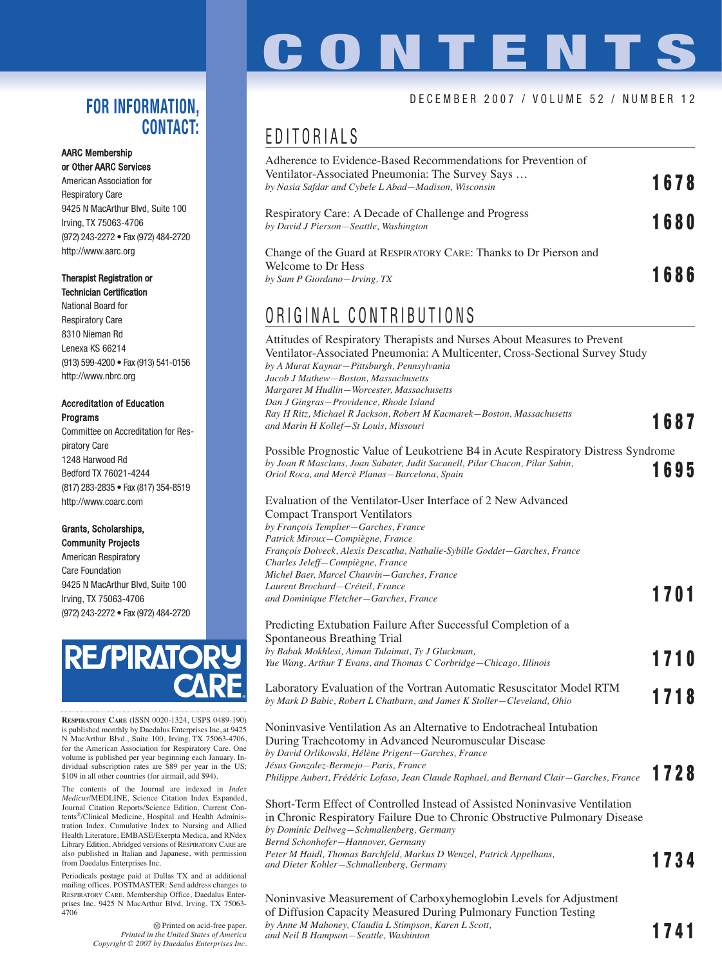## **CONTENTS**

### DECEMBER 2007 / VOLUME 52 / NUMBER 12

### **FOR INFORMATION, CONTACT:**

### AARC Membership or Other AARC Services

American Association for Respiratory Care 9425 N MacArthur Blvd, Suite 100 Irving, TX 75063-4706 (972) 243-2272 • Fax (972) 484-2720 http://www.aarc.org

### Therapist Registration or Technician Certification

National Board for Respiratory Care 8310 Nieman Rd Lenexa KS 66214 (913) 599-4200 • Fax (913) 541-0156 http://www.nbrc.org

### Accreditation of Education Programs

Committee on Accreditation for Respiratory Care 1248 Harwood Rd Bedford TX 76021-4244 (817) 283-2835 • Fax (817) 354-8519 http://www.coarc.com

### Grants, Scholarships, Community Projects

American Respiratory Care Foundation 9425 N MacArthur Blvd, Suite 100 Irving, TX 75063-4706 (972) 243-2272 • Fax (972) 484-2720



**RESPIRATORY CARE** (ISSN 0020-1324, USPS 0489-190) is published monthly by Daedalus Enterprises Inc, at 9425 N MacArthur Blvd., Suite 100, Irving, TX 75063-4706, for the American Association for Respiratory Care. One volume is published per year beginning each January. In-dividual subscription rates are \$89 per year in the US; \$109 in all other countries (for airmail, add \$94).

The contents of the Journal are indexed in *Index Medicus*/MEDLINE, Science Citation Index Expanded, Journal Citation Reports/Science Edition, Current Contents®/Clinical Medicine, Hospital and Health Administration Index, Cumulative Index to Nursing and Allied Health Literature, EMBASE/Exerpta Medica, and RNdex Library Edition. Abridged versions of RESPIRATORY CARE are also published in Italian and Japanese, with permission from Daedalus Enterprises Inc.

Periodicals postage paid at Dallas TX and at additional mailing offices. POSTMASTER: Send address changes to RESPIRATORY CARE, Membership Office, Daedalus Enterprises Inc, 9425 N MacArthur Blvd, Irving, TX 75063- 4706

> Printed on acid-free paper. *Printed in the United States of America Copyright © 2007 by Daedalus Enterprises Inc.*

## EDITORIALS

| Adherence to Evidence-Based Recommendations for Prevention of<br>Ventilator-Associated Pneumonia: The Survey Says<br>by Nasia Safdar and Cybele L Abad—Madison, Wisconsin | 1678 |
|---------------------------------------------------------------------------------------------------------------------------------------------------------------------------|------|
| Respiratory Care: A Decade of Challenge and Progress<br>by David J Pierson-Seattle, Washington                                                                            | 1680 |
| Change of the Guard at RESPIRATORY CARE: Thanks to Dr Pierson and<br>Welcome to Dr Hess<br>by Sam P Giordano-Irving, TX                                                   | 1686 |

## ORIGINAL CONTRIBUTIONS

| Attitudes of Respiratory Therapists and Nurses About Measures to Prevent<br>Ventilator-Associated Pneumonia: A Multicenter, Cross-Sectional Survey Study<br>by A Murat Kaynar-Pittsburgh, Pennsylvania<br>Jacob J Mathew-Boston, Massachusetts<br>Margaret M Hudlin-Worcester, Massachusetts<br>Dan J Gingras-Providence, Rhode Island<br>Ray H Ritz, Michael R Jackson, Robert M Kacmarek–Boston, Massachusetts |      |  |
|------------------------------------------------------------------------------------------------------------------------------------------------------------------------------------------------------------------------------------------------------------------------------------------------------------------------------------------------------------------------------------------------------------------|------|--|
| and Marin H Kollef—St Louis, Missouri                                                                                                                                                                                                                                                                                                                                                                            | 1687 |  |
| Possible Prognostic Value of Leukotriene B4 in Acute Respiratory Distress Syndrome<br>by Joan R Masclans, Joan Sabater, Judit Sacanell, Pilar Chacon, Pilar Sabin,<br>Oriol Roca, and Mercè Planas-Barcelona, Spain                                                                                                                                                                                              | 1695 |  |
| Evaluation of the Ventilator-User Interface of 2 New Advanced<br><b>Compact Transport Ventilators</b><br>by François Templier-Garches, France<br>Patrick Miroux-Compiègne, France                                                                                                                                                                                                                                |      |  |
| François Dolveck, Alexis Descatha, Nathalie-Sybille Goddet-Garches, France<br>Charles Jeleff-Compiègne, France                                                                                                                                                                                                                                                                                                   |      |  |
| Michel Baer, Marcel Chauvin–Garches, France                                                                                                                                                                                                                                                                                                                                                                      |      |  |
| Laurent Brochard–Créteil, France<br>and Dominique Fletcher–Garches, France                                                                                                                                                                                                                                                                                                                                       | 1701 |  |
| Predicting Extubation Failure After Successful Completion of a<br>Spontaneous Breathing Trial                                                                                                                                                                                                                                                                                                                    |      |  |
| by Babak Mokhlesi, Aiman Tulaimat, Ty J Gluckman,<br>Yue Wang, Arthur T Evans, and Thomas C Corbridge-Chicago, Illinois                                                                                                                                                                                                                                                                                          | 1710 |  |
| Laboratory Evaluation of the Vortran Automatic Resuscitator Model RTM<br>by Mark D Babic, Robert L Chatburn, and James K Stoller–Cleveland, Ohio                                                                                                                                                                                                                                                                 | 1718 |  |
| Noninvasive Ventilation As an Alternative to Endotracheal Intubation<br>During Tracheotomy in Advanced Neuromuscular Disease<br>by David Orlikowski, Hélène Prigent-Garches, France                                                                                                                                                                                                                              |      |  |
| Jésus Gonzalez-Bermejo—Paris, France<br>Philippe Aubert, Frédéric Lofaso, Jean Claude Raphael, and Bernard Clair-Garches, France                                                                                                                                                                                                                                                                                 | 1728 |  |
| Short-Term Effect of Controlled Instead of Assisted Noninvasive Ventilation<br>in Chronic Respiratory Failure Due to Chronic Obstructive Pulmonary Disease<br>by Dominic Dellweg–Schmallenberg, Germany<br>Bernd Schonhofer-Hannover, Germany                                                                                                                                                                    |      |  |
| Peter M Haidl, Thomas Barchfeld, Markus D Wenzel, Patrick Appelhans,<br>and Dieter Kohler-Schmallenberg, Germany                                                                                                                                                                                                                                                                                                 | 1734 |  |
| $\mathbf{M}$ . The state of $\mathbf{M}$ and $\mathbf{M}$ and $\mathbf{M}$ are stated as $\mathbf{M}$ and $\mathbf{M}$ and $\mathbf{M}$ are stated as $\mathbf{M}$ and $\mathbf{M}$ are stated as $\mathbf{M}$ and $\mathbf{M}$ are stated as $\mathbf{M}$ and $\mathbf{M}$ are s                                                                                                                                |      |  |

Noninvasive Measurement of Carboxyhemoglobin Levels for Adjustment of Diffusion Capacity Measured During Pulmonary Function Testing *by Anne M Mahoney, Claudia L Stimpson, Karen L Scott, by Anne M Mahoney, Claudia L Stimpson, Karen L Scott,*<br>and Neil B Hampson—Seattle, Washinton